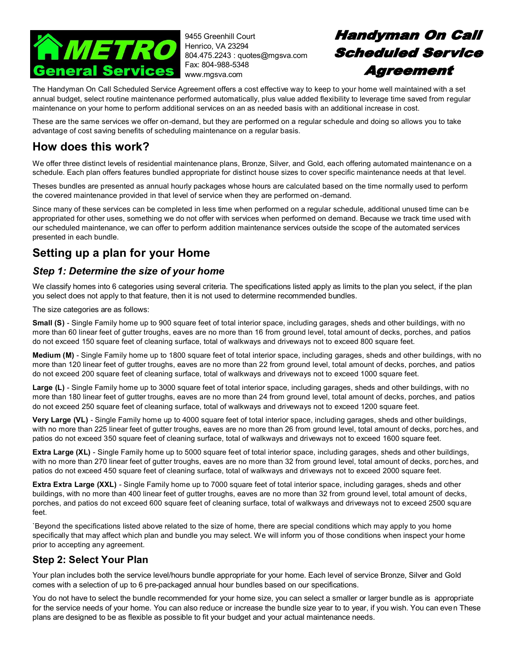

9455 Greenhill Court Henrico, VA 23294 804.475.2243 : quotes@mgsva.com Fax: 804-988-5348 www.mgsva.com

# Handyman On Call **Scheduled Service Agreement**

The Handyman On Call Scheduled Service Agreement offers a cost effective way to keep to your home well maintained with a set annual budget, select routine maintenance performed automatically, plus value added flexibility to leverage time saved from regular maintenance on your home to perform additional services on an as needed basis with an additional increase in cost.

These are the same services we offer on-demand, but they are performed on a regular schedule and doing so allows you to take advantage of cost saving benefits of scheduling maintenance on a regular basis.

## **How does this work?**

We offer three distinct levels of residential maintenance plans, Bronze, Silver, and Gold, each offering automated maintenanc e on a schedule. Each plan offers features bundled appropriate for distinct house sizes to cover specific maintenance needs at that level.

Theses bundles are presented as annual hourly packages whose hours are calculated based on the time normally used to perform the covered maintenance provided in that level of service when they are performed on-demand.

Since many of these services can be completed in less time when performed on a regular schedule, additional unused time can be appropriated for other uses, something we do not offer with services when performed on demand. Because we track time used with our scheduled maintenance, we can offer to perform addition maintenance services outside the scope of the automated services presented in each bundle.

## **Setting up a plan for your Home**

### *Step 1: Determine the size of your home*

We classify homes into 6 categories using several criteria. The specifications listed apply as limits to the plan you select, if the plan you select does not apply to that feature, then it is not used to determine recommended bundles.

The size categories are as follows:

**Small (S)** - Single Family home up to 900 square feet of total interior space, including garages, sheds and other buildings, with no more than 60 linear feet of gutter troughs, eaves are no more than 16 from ground level, total amount of decks, porches, and patios do not exceed 150 square feet of cleaning surface, total of walkways and driveways not to exceed 800 square feet.

**Medium (M)** - Single Family home up to 1800 square feet of total interior space, including garages, sheds and other buildings, with no more than 120 linear feet of gutter troughs, eaves are no more than 22 from ground level, total amount of decks, porches, and patios do not exceed 200 square feet of cleaning surface, total of walkways and driveways not to exceed 1000 square feet.

**Large (L)** - Single Family home up to 3000 square feet of total interior space, including garages, sheds and other buildings, with no more than 180 linear feet of gutter troughs, eaves are no more than 24 from ground level, total amount of decks, porches, and patios do not exceed 250 square feet of cleaning surface, total of walkways and driveways not to exceed 1200 square feet.

**Very Large (VL)** - Single Family home up to 4000 square feet of total interior space, including garages, sheds and other buildings, with no more than 225 linear feet of gutter troughs, eaves are no more than 26 from ground level, total amount of decks, porches, and patios do not exceed 350 square feet of cleaning surface, total of walkways and driveways not to exceed 1600 square feet.

**Extra Large (XL)** - Single Family home up to 5000 square feet of total interior space, including garages, sheds and other buildings, with no more than 270 linear feet of gutter troughs, eaves are no more than 32 from ground level, total amount of decks, porches, and patios do not exceed 450 square feet of cleaning surface, total of walkways and driveways not to exceed 2000 square feet.

**Extra Extra Large (XXL)** - Single Family home up to 7000 square feet of total interior space, including garages, sheds and other buildings, with no more than 400 linear feet of gutter troughs, eaves are no more than 32 from ground level, total amount of decks, porches, and patios do not exceed 600 square feet of cleaning surface, total of walkways and driveways not to exceed 2500 square feet.

`Beyond the specifications listed above related to the size of home, there are special conditions which may apply to you home specifically that may affect which plan and bundle you may select. We will inform you of those conditions when inspect your home prior to accepting any agreement.

### **Step 2: Select Your Plan**

Your plan includes both the service level/hours bundle appropriate for your home. Each level of service Bronze, Silver and Gold comes with a selection of up to 6 pre-packaged annual hour bundles based on our specifications.

You do not have to select the bundle recommended for your home size, you can select a smaller or larger bundle as is appropriate for the service needs of your home. You can also reduce or increase the bundle size year to to year, if you wish. You can even These plans are designed to be as flexible as possible to fit your budget and your actual maintenance needs.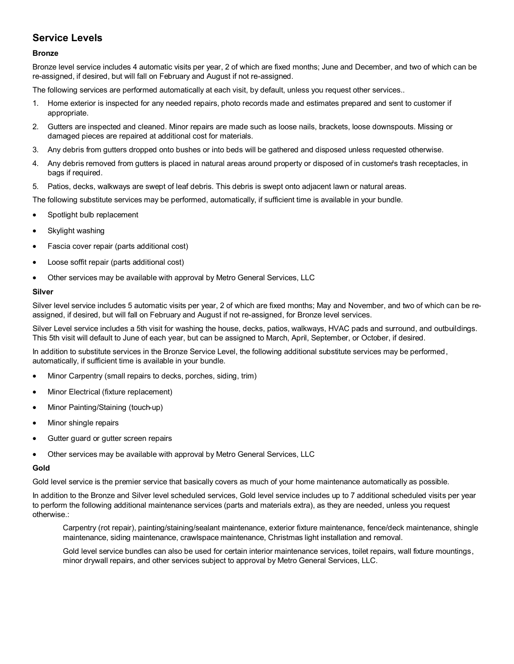### **Service Levels**

#### **Bronze**

Bronze level service includes 4 automatic visits per year, 2 of which are fixed months; June and December, and two of which can be re-assigned, if desired, but will fall on February and August if not re-assigned.

The following services are performed automatically at each visit, by default, unless you request other services..

- 1. Home exterior is inspected for any needed repairs, photo records made and estimates prepared and sent to customer if appropriate.
- 2. Gutters are inspected and cleaned. Minor repairs are made such as loose nails, brackets, loose downspouts. Missing or damaged pieces are repaired at additional cost for materials.
- 3. Any debris from gutters dropped onto bushes or into beds will be gathered and disposed unless requested otherwise.
- 4. Any debris removed from gutters is placed in natural areas around property or disposed of in customer's trash receptacles, in bags if required.
- 5. Patios, decks, walkways are swept of leaf debris. This debris is swept onto adjacent lawn or natural areas.

The following substitute services may be performed, automatically, if sufficient time is available in your bundle.

- Spotlight bulb replacement
- Skylight washing
- Fascia cover repair (parts additional cost)
- Loose soffit repair (parts additional cost)
- Other services may be available with approval by Metro General Services, LLC

#### **Silver**

Silver level service includes 5 automatic visits per year, 2 of which are fixed months; May and November, and two of which can be reassigned, if desired, but will fall on February and August if not re-assigned, for Bronze level services.

Silver Level service includes a 5th visit for washing the house, decks, patios, walkways, HVAC pads and surround, and outbuildings. This 5th visit will default to June of each year, but can be assigned to March, April, September, or October, if desired.

In addition to substitute services in the Bronze Service Level, the following additional substitute services may be performed, automatically, if sufficient time is available in your bundle.

- Minor Carpentry (small repairs to decks, porches, siding, trim)
- Minor Electrical (fixture replacement)
- Minor Painting/Staining (touch-up)
- Minor shingle repairs
- Gutter guard or gutter screen repairs
- Other services may be available with approval by Metro General Services, LLC

#### **Gold**

Gold level service is the premier service that basically covers as much of your home maintenance automatically as possible.

In addition to the Bronze and Silver level scheduled services, Gold level service includes up to 7 additional scheduled visits per year to perform the following additional maintenance services (parts and materials extra), as they are needed, unless you request otherwise.:

Carpentry (rot repair), painting/staining/sealant maintenance, exterior fixture maintenance, fence/deck maintenance, shingle maintenance, siding maintenance, crawlspace maintenance, Christmas light installation and removal.

Gold level service bundles can also be used for certain interior maintenance services, toilet repairs, wall fixture mountings, minor drywall repairs, and other services subject to approval by Metro General Services, LLC.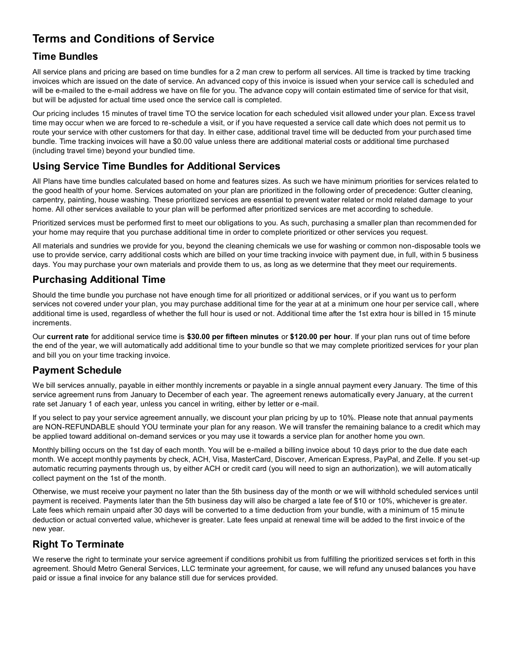## **Terms and Conditions of Service**

### **Time Bundles**

All service plans and pricing are based on time bundles for a 2 man crew to perform all services. All time is tracked by time tracking invoices which are issued on the date of service. An advanced copy of this invoice is issued when your service call is scheduled and will be e-mailed to the e-mail address we have on file for you. The advance copy will contain estimated time of service for that visit, but will be adjusted for actual time used once the service call is completed.

Our pricing includes 15 minutes of travel time TO the service location for each scheduled visit allowed under your plan. Excess travel time may occur when we are forced to re-schedule a visit, or if you have requested a service call date which does not permit us to route your service with other customers for that day. In either case, additional travel time will be deducted from your purchased time bundle. Time tracking invoices will have a \$0.00 value unless there are additional material costs or additional time purchased (including travel time) beyond your bundled time.

### **Using Service Time Bundles for Additional Services**

All Plans have time bundles calculated based on home and features sizes. As such we have minimum priorities for services related to the good health of your home. Services automated on your plan are prioritized in the following order of precedence: Gutter cleaning, carpentry, painting, house washing. These prioritized services are essential to prevent water related or mold related damage to your home. All other services available to your plan will be performed after prioritized services are met according to schedule.

Prioritized services must be performed first to meet our obligations to you. As such, purchasing a smaller plan than recommended for your home may require that you purchase additional time in order to complete prioritized or other services you request.

All materials and sundries we provide for you, beyond the cleaning chemicals we use for washing or common non-disposable tools we use to provide service, carry additional costs which are billed on your time tracking invoice with payment due, in full, within 5 business days. You may purchase your own materials and provide them to us, as long as we determine that they meet our requirements.

### **Purchasing Additional Time**

Should the time bundle you purchase not have enough time for all prioritized or additional services, or if you want us to perform services not covered under your plan, you may purchase additional time for the year at at a minimum one hour per service call, where additional time is used, regardless of whether the full hour is used or not. Additional time after the 1st extra hour is billed in 15 minute increments.

Our **current rate** for additional service time is **\$30.00 per fifteen minutes** or **\$120.00 per hour**. If your plan runs out of time before the end of the year, we will automatically add additional time to your bundle so that we may complete prioritized services for your plan and bill you on your time tracking invoice.

### **Payment Schedule**

We bill services annually, payable in either monthly increments or payable in a single annual payment every January. The time of this service agreement runs from January to December of each year. The agreement renews automatically every January, at the current rate set January 1 of each year, unless you cancel in writing, either by letter or e-mail.

If you select to pay your service agreement annually, we discount your plan pricing by up to 10%. Please note that annual payments are NON-REFUNDABLE should YOU terminate your plan for any reason. We will transfer the remaining balance to a credit which may be applied toward additional on-demand services or you may use it towards a service plan for another home you own.

Monthly billing occurs on the 1st day of each month. You will be e-mailed a billing invoice about 10 days prior to the due date each month. We accept monthly payments by check, ACH, Visa, MasterCard, Discover, American Express, PayPal, and Zelle. If you set-up automatic recurring payments through us, by either ACH or credit card (you will need to sign an authorization), we will autom atically collect payment on the 1st of the month.

Otherwise, we must receive your payment no later than the 5th business day of the month or we will withhold scheduled services until payment is received. Payments later than the 5th business day will also be charged a late fee of \$10 or 10%, whichever is greater. Late fees which remain unpaid after 30 days will be converted to a time deduction from your bundle, with a minimum of 15 minute deduction or actual converted value, whichever is greater. Late fees unpaid at renewal time will be added to the first invoice of the new year.

### **Right To Terminate**

We reserve the right to terminate your service agreement if conditions prohibit us from fulfilling the prioritized services s et forth in this agreement. Should Metro General Services, LLC terminate your agreement, for cause, we will refund any unused balances you have paid or issue a final invoice for any balance still due for services provided.